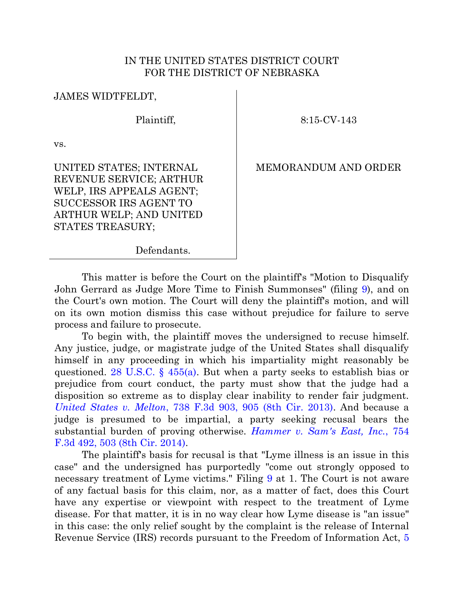## IN THE UNITED STATES DISTRICT COURT FOR THE DISTRICT OF NEBRASKA

JAMES WIDTFELDT,

Plaintiff,

8:15-CV-143

vs.

UNITED STATES; INTERNAL REVENUE SERVICE; ARTHUR WELP, IRS APPEALS AGENT; SUCCESSOR IRS AGENT TO ARTHUR WELP; AND UNITED STATES TREASURY;

MEMORANDUM AND ORDER

Defendants.

This matter is before the Court on the plaintiff's "Motion to Disqualify John Gerrard as Judge More Time to Finish Summonses" (filing [9\)](https://ecf.ned.uscourts.gov/doc1/11303402086), and on the Court's own motion. The Court will deny the plaintiff's motion, and will on its own motion dismiss this case without prejudice for failure to serve process and failure to prosecute.

To begin with, the plaintiff moves the undersigned to recuse himself. Any justice, judge, or magistrate judge of the United States shall disqualify himself in any proceeding in which his impartiality might reasonably be questioned. 28 U.S.C. §  $455(a)$ . But when a party seeks to establish bias or prejudice from court conduct, the party must show that the judge had a disposition so extreme as to display clear inability to render fair judgment. *United States v. Melton*[, 738 F.3d 903, 905 \(8th Cir. 2013\).](https://www.westlaw.com/Document/I10b427196e3911e38913df21cb42a557/View/FullText.html?transitionType=Default&contextData=(sc.Default)&VR=3.0&RS=da3.0&fragmentIdentifier=co_pp_sp_506_905) And because a judge is presumed to be impartial, a party seeking recusal bears the substantial burden of proving otherwise. *[Hammer v. Sam's East, Inc.](https://www.westlaw.com/Document/Ide5f69fbece411e39488c8f438320c70/View/FullText.html?transitionType=Default&contextData=(sc.Default)&VR=3.0&RS=da3.0&fragmentIdentifier=co_pp_sp_506_503)*, 754 [F.3d 492, 503 \(8th Cir. 2014\).](https://www.westlaw.com/Document/Ide5f69fbece411e39488c8f438320c70/View/FullText.html?transitionType=Default&contextData=(sc.Default)&VR=3.0&RS=da3.0&fragmentIdentifier=co_pp_sp_506_503)

The plaintiff's basis for recusal is that "Lyme illness is an issue in this case" and the undersigned has purportedly "come out strongly opposed to necessary treatment of Lyme victims." Filing [9](https://ecf.ned.uscourts.gov/doc1/11303402086) at 1. The Court is not aware of any factual basis for this claim, nor, as a matter of fact, does this Court have any expertise or viewpoint with respect to the treatment of Lyme disease. For that matter, it is in no way clear how Lyme disease is "an issue" in this case: the only relief sought by the complaint is the release of Internal Revenue Service (IRS) records pursuant to the Freedom of Information Act, [5](https://www.westlaw.com/Document/N03442DF0C7ED11DEB641BA42AF2DD571/View/FullText.html?transitionType=Default&contextData=(sc.Default)&VR=3.0&RS=da3.0)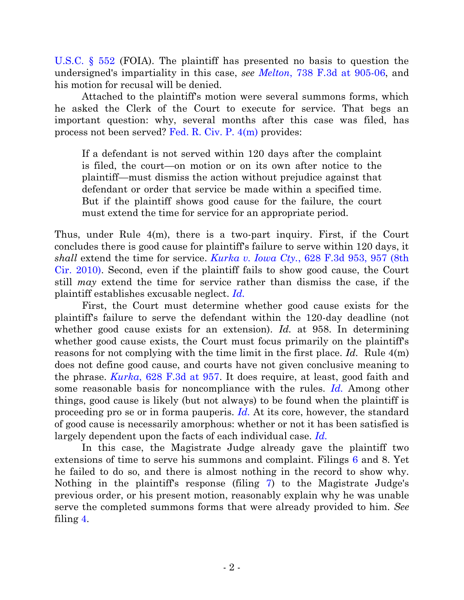[U.S.C. § 552](https://www.westlaw.com/Document/N03442DF0C7ED11DEB641BA42AF2DD571/View/FullText.html?transitionType=Default&contextData=(sc.Default)&VR=3.0&RS=da3.0) (FOIA). The plaintiff has presented no basis to question the undersigned's impartiality in this case, *see Melton*[, 738 F.3d at 905-06,](https://www.westlaw.com/Document/I10b427196e3911e38913df21cb42a557/View/FullText.html?transitionType=Default&contextData=(sc.Default)&VR=3.0&RS=da3.0&fragmentIdentifier=co_pp_sp_506_905) and his motion for recusal will be denied.

Attached to the plaintiff's motion were several summons forms, which he asked the Clerk of the Court to execute for service. That begs an important question: why, several months after this case was filed, has process not been served? [Fed. R. Civ. P. 4\(m\)](https://www.westlaw.com/Document/NBC051130B95F11D8983DF34406B5929B/View/FullText.html?transitionType=Default&contextData=(sc.Default)&VR=3.0&RS=da3.0) provides:

If a defendant is not served within 120 days after the complaint is filed, the court—on motion or on its own after notice to the plaintiff—must dismiss the action without prejudice against that defendant or order that service be made within a specified time. But if the plaintiff shows good cause for the failure, the court must extend the time for service for an appropriate period.

Thus, under Rule 4(m), there is a two-part inquiry. First, if the Court concludes there is good cause for plaintiff's failure to serve within 120 days, it *shall* extend the time for service. *Kurka v. Iowa Cty.*[, 628 F.3d 953, 957 \(8th](https://www.westlaw.com/Document/I06bf7f55083f11e0aa23bccc834e9520/View/FullText.html?transitionType=Default&contextData=(sc.Default)&VR=3.0&RS=da3.0&fragmentIdentifier=co_pp_sp_506_957)  [Cir. 2010\).](https://www.westlaw.com/Document/I06bf7f55083f11e0aa23bccc834e9520/View/FullText.html?transitionType=Default&contextData=(sc.Default)&VR=3.0&RS=da3.0&fragmentIdentifier=co_pp_sp_506_957) Second, even if the plaintiff fails to show good cause, the Court still *may* extend the time for service rather than dismiss the case, if the plaintiff establishes excusable neglect. *[Id.](https://www.westlaw.com/Document/I06bf7f55083f11e0aa23bccc834e9520/View/FullText.html?transitionType=Default&contextData=(sc.Default)&VR=3.0&RS=da3.0)*

First, the Court must determine whether good cause exists for the plaintiff's failure to serve the defendant within the 120-day deadline (not whether good cause exists for an extension). *Id.* at 958. In determining whether good cause exists, the Court must focus primarily on the plaintiff's reasons for not complying with the time limit in the first place. *Id.* Rule 4(m) does not define good cause, and courts have not given conclusive meaning to the phrase. *Kurka*[, 628 F.3d at 957.](https://www.westlaw.com/Document/I06bf7f55083f11e0aa23bccc834e9520/View/FullText.html?transitionType=Default&contextData=(sc.Default)&VR=3.0&RS=da3.0&fragmentIdentifier=co_pp_sp_506_957) It does require, at least, good faith and some reasonable basis for noncompliance with the rules. *[Id.](https://www.westlaw.com/Document/I06bf7f55083f11e0aa23bccc834e9520/View/FullText.html?transitionType=Default&contextData=(sc.Default)&VR=3.0&RS=da3.0)* Among other things, good cause is likely (but not always) to be found when the plaintiff is proceeding pro se or in forma pauperis. *[Id.](https://www.westlaw.com/Document/I06bf7f55083f11e0aa23bccc834e9520/View/FullText.html?transitionType=Default&contextData=(sc.Default)&VR=3.0&RS=da3.0)* At its core, however, the standard of good cause is necessarily amorphous: whether or not it has been satisfied is largely dependent upon the facts of each individual case. *[Id.](https://www.westlaw.com/Document/I06bf7f55083f11e0aa23bccc834e9520/View/FullText.html?transitionType=Default&contextData=(sc.Default)&VR=3.0&RS=da3.0)*

In this case, the Magistrate Judge already gave the plaintiff two extensions of time to serve his summons and complaint. Filings [6](https://ecf.ned.uscourts.gov/doc1/11313361388) and 8. Yet he failed to do so, and there is almost nothing in the record to show why. Nothing in the plaintiff's response (filing [7\)](https://ecf.ned.uscourts.gov/doc1/11313380020) to the Magistrate Judge's previous order, or his present motion, reasonably explain why he was unable serve the completed summons forms that were already provided to him. *See* filing [4.](https://ecf.ned.uscourts.gov/doc1/11313266086)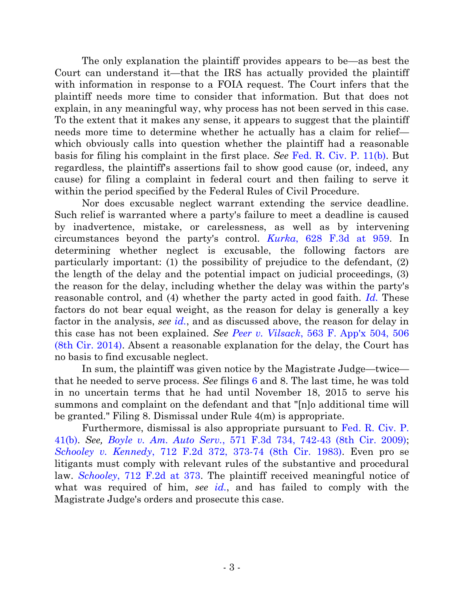The only explanation the plaintiff provides appears to be—as best the Court can understand it—that the IRS has actually provided the plaintiff with information in response to a FOIA request. The Court infers that the plaintiff needs more time to consider that information. But that does not explain, in any meaningful way, why process has not been served in this case. To the extent that it makes any sense, it appears to suggest that the plaintiff needs more time to determine whether he actually has a claim for relief which obviously calls into question whether the plaintiff had a reasonable basis for filing his complaint in the first place. *See* [Fed. R. Civ. P. 11\(b\).](https://www.westlaw.com/Document/N71274E70B96011D8983DF34406B5929B/View/FullText.html?transitionType=Default&contextData=(sc.Default)&VR=3.0&RS=da3.0) But regardless, the plaintiff's assertions fail to show good cause (or, indeed, any cause) for filing a complaint in federal court and then failing to serve it within the period specified by the Federal Rules of Civil Procedure.

Nor does excusable neglect warrant extending the service deadline. Such relief is warranted where a party's failure to meet a deadline is caused by inadvertence, mistake, or carelessness, as well as by intervening circumstances beyond the party's control. *Kurka*[, 628 F.3d at 959.](https://www.westlaw.com/Document/I06bf7f55083f11e0aa23bccc834e9520/View/FullText.html?transitionType=Default&contextData=(sc.Default)&VR=3.0&RS=da3.0&fragmentIdentifier=co_pp_sp_506_959) In determining whether neglect is excusable, the following factors are particularly important: (1) the possibility of prejudice to the defendant, (2) the length of the delay and the potential impact on judicial proceedings, (3) the reason for the delay, including whether the delay was within the party's reasonable control, and (4) whether the party acted in good faith. *[Id.](https://www.westlaw.com/Document/I06bf7f55083f11e0aa23bccc834e9520/View/FullText.html?transitionType=Default&contextData=(sc.Default)&VR=3.0&RS=da3.0)* These factors do not bear equal weight, as the reason for delay is generally a key factor in the analysis, *see [id.](https://www.westlaw.com/Document/I06bf7f55083f11e0aa23bccc834e9520/View/FullText.html?transitionType=Default&contextData=(sc.Default)&VR=3.0&RS=da3.0)*, and as discussed above, the reason for delay in this case has not been explained. *See Peer v. Vilsack*[, 563 F. App'x 504, 506](https://www.westlaw.com/Document/I2c08b607fc9211e39488c8f438320c70/View/FullText.html?transitionType=Default&contextData=(sc.Default)&VR=3.0&RS=da3.0&fragmentIdentifier=co_pp_sp_6538_506)  [\(8th Cir. 2014\).](https://www.westlaw.com/Document/I2c08b607fc9211e39488c8f438320c70/View/FullText.html?transitionType=Default&contextData=(sc.Default)&VR=3.0&RS=da3.0&fragmentIdentifier=co_pp_sp_6538_506) Absent a reasonable explanation for the delay, the Court has no basis to find excusable neglect.

In sum, the plaintiff was given notice by the Magistrate Judge—twice that he needed to serve process. *See* filings [6](https://ecf.ned.uscourts.gov/doc1/11313361388) and 8. The last time, he was told in no uncertain terms that he had until November 18, 2015 to serve his summons and complaint on the defendant and that "[n]o additional time will be granted." Filing 8. Dismissal under Rule 4(m) is appropriate.

Furthermore, dismissal is also appropriate pursuant to [Fed. R. Civ. P.](https://www.westlaw.com/Document/N52590C80B96611D8983DF34406B5929B/View/FullText.html?transitionType=Default&contextData=(sc.Default)&VR=3.0&RS=da3.0)  [41\(b\).](https://www.westlaw.com/Document/N52590C80B96611D8983DF34406B5929B/View/FullText.html?transitionType=Default&contextData=(sc.Default)&VR=3.0&RS=da3.0) *See, Boyle v. Am. Auto Serv.*[, 571 F.3d 734, 742-43 \(8th Cir. 2009\);](https://www.westlaw.com/Document/I5638145266f511de9988d233d23fe599/View/FullText.html?transitionType=Default&contextData=(sc.Default)&VR=3.0&RS=da3.0&fragmentIdentifier=co_pp_sp_506_742) *Schooley v. Kennedy*[, 712 F.2d 372, 373-74 \(8th Cir. 1983\).](https://www.westlaw.com/Document/I8f5b80b9940b11d9a707f4371c9c34f0/View/FullText.html?transitionType=Default&contextData=(sc.Default)&VR=3.0&RS=da3.0&fragmentIdentifier=co_pp_sp_350_373) Even pro se litigants must comply with relevant rules of the substantive and procedural law. *Schooley*[, 712 F.2d at 373.](https://www.westlaw.com/Document/I8f5b80b9940b11d9a707f4371c9c34f0/View/FullText.html?transitionType=Default&contextData=(sc.Default)&VR=3.0&RS=da3.0&fragmentIdentifier=co_pp_sp_350_373) The plaintiff received meaningful notice of what was required of him, *see [id.](https://www.westlaw.com/Document/I8f5b80b9940b11d9a707f4371c9c34f0/View/FullText.html?transitionType=Default&contextData=(sc.Default)&VR=3.0&RS=da3.0)*, and has failed to comply with the Magistrate Judge's orders and prosecute this case.